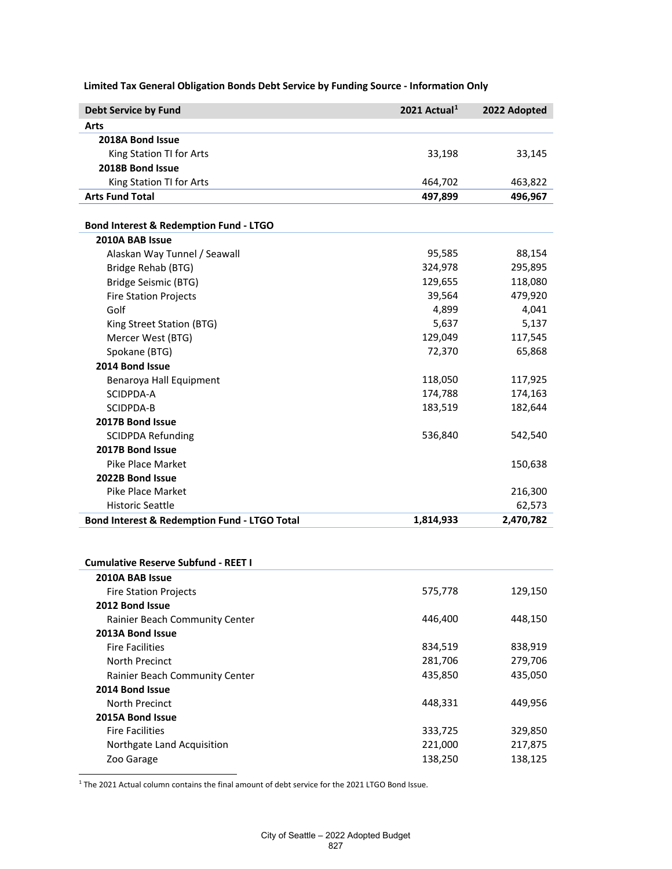| <b>Debt Service by Fund</b>                  | 2021 Actual <sup>1</sup> | 2022 Adopted |
|----------------------------------------------|--------------------------|--------------|
| Arts                                         |                          |              |
| 2018A Bond Issue                             |                          |              |
| King Station TI for Arts                     | 33,198                   | 33,145       |
| 2018B Bond Issue                             |                          |              |
| King Station TI for Arts                     | 464,702                  | 463,822      |
| <b>Arts Fund Total</b>                       | 497,899                  | 496,967      |
| Bond Interest & Redemption Fund - LTGO       |                          |              |
| 2010A BAB Issue                              |                          |              |
| Alaskan Way Tunnel / Seawall                 | 95,585                   | 88,154       |
| Bridge Rehab (BTG)                           | 324,978                  | 295,895      |
| Bridge Seismic (BTG)                         | 129,655                  | 118,080      |
| <b>Fire Station Projects</b>                 | 39,564                   | 479,920      |
| Golf                                         | 4,899                    | 4,041        |
| King Street Station (BTG)                    | 5,637                    | 5,137        |
| Mercer West (BTG)                            | 129,049                  | 117,545      |
| Spokane (BTG)                                | 72,370                   | 65,868       |
| 2014 Bond Issue                              |                          |              |
| Benaroya Hall Equipment                      | 118,050                  | 117,925      |
| SCIDPDA-A                                    | 174,788                  | 174,163      |
| SCIDPDA-B                                    | 183,519                  | 182,644      |
| 2017B Bond Issue                             |                          |              |
| <b>SCIDPDA Refunding</b>                     | 536,840                  | 542,540      |
| 2017B Bond Issue                             |                          |              |
| Pike Place Market                            |                          | 150,638      |
| 2022B Bond Issue                             |                          |              |
| <b>Pike Place Market</b>                     |                          | 216,300      |
| <b>Historic Seattle</b>                      |                          | 62,573       |
| Bond Interest & Redemption Fund - LTGO Total | 1,814,933                | 2,470,782    |
|                                              |                          |              |
| <b>Cumulative Reserve Subfund - REET I</b>   |                          |              |
| 2010A BAB Issue                              |                          |              |
| <b>Fire Station Projects</b>                 | 575,778                  | 129,150      |
| 2012 Bond Issue                              |                          |              |
| Rainier Beach Community Center               | 446,400                  | 448,150      |
| 2013A Bond Issue                             |                          |              |
| <b>Fire Facilities</b>                       | 834,519                  | 838,919      |
| North Precinct                               | 281,706                  | 279,706      |
| Rainier Beach Community Center               | 435,850                  | 435,050      |
| 2014 Bond Issue                              |                          |              |
| North Precinct                               | 448,331                  | 449,956      |
| 2015A Bond Issue                             |                          |              |
| <b>Fire Facilities</b>                       | 333,725                  | 329,850      |
| Northgate Land Acquisition                   | 221,000                  | 217,875      |
| Zoo Garage                                   | 138,250                  | 138,125      |

**Limited Tax General Obligation Bonds Debt Service by Funding Source - Information Only**

<span id="page-0-0"></span><sup>1</sup> The 2021 Actual column contains the final amount of debt service for the 2021 LTGO Bond Issue.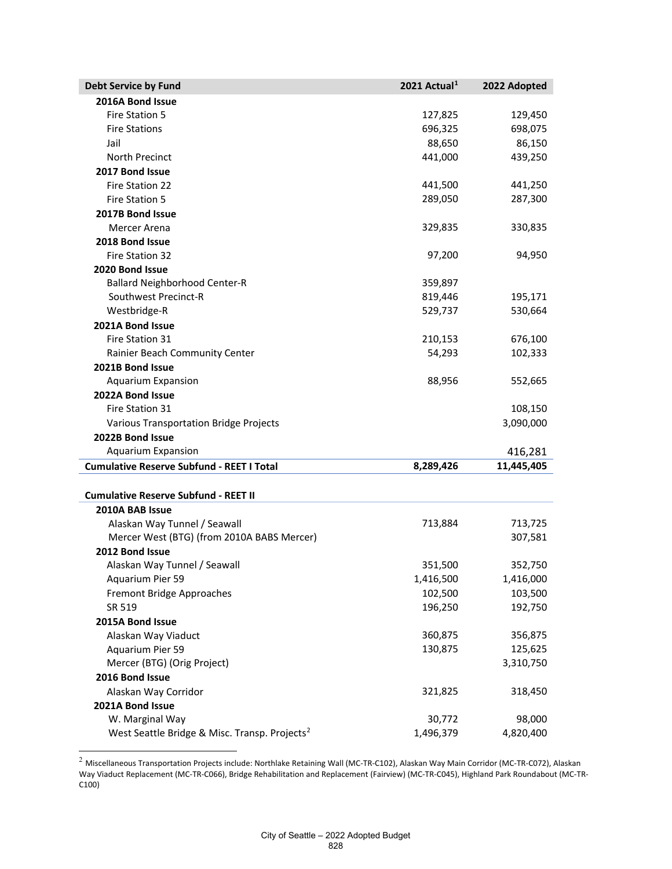| <b>Debt Service by Fund</b>                               | 2021 Actual <sup>1</sup> | 2022 Adopted |
|-----------------------------------------------------------|--------------------------|--------------|
| 2016A Bond Issue                                          |                          |              |
| <b>Fire Station 5</b>                                     | 127,825                  | 129,450      |
| <b>Fire Stations</b>                                      | 696,325                  | 698,075      |
| Jail                                                      | 88,650                   | 86,150       |
| North Precinct                                            | 441,000                  | 439,250      |
| 2017 Bond Issue                                           |                          |              |
| Fire Station 22                                           | 441,500                  | 441,250      |
| Fire Station 5                                            | 289,050                  | 287,300      |
| 2017B Bond Issue                                          |                          |              |
| Mercer Arena                                              | 329,835                  | 330,835      |
| 2018 Bond Issue                                           |                          |              |
| Fire Station 32                                           | 97,200                   | 94,950       |
| 2020 Bond Issue                                           |                          |              |
| <b>Ballard Neighborhood Center-R</b>                      | 359,897                  |              |
| Southwest Precinct-R                                      | 819,446                  | 195,171      |
| Westbridge-R                                              | 529,737                  | 530,664      |
| 2021A Bond Issue                                          |                          |              |
| Fire Station 31                                           | 210,153                  | 676,100      |
| Rainier Beach Community Center                            | 54,293                   | 102,333      |
| 2021B Bond Issue                                          |                          |              |
| <b>Aquarium Expansion</b>                                 | 88,956                   | 552,665      |
| 2022A Bond Issue                                          |                          |              |
| Fire Station 31                                           |                          | 108,150      |
| Various Transportation Bridge Projects                    |                          | 3,090,000    |
| 2022B Bond Issue                                          |                          |              |
| <b>Aquarium Expansion</b>                                 |                          | 416,281      |
| <b>Cumulative Reserve Subfund - REET I Total</b>          | 8,289,426                | 11,445,405   |
|                                                           |                          |              |
| <b>Cumulative Reserve Subfund - REET II</b>               |                          |              |
| 2010A BAB Issue                                           |                          |              |
| Alaskan Way Tunnel / Seawall                              | 713,884                  | 713,725      |
| Mercer West (BTG) (from 2010A BABS Mercer)                |                          | 307,581      |
| 2012 Bond Issue                                           |                          |              |
| Alaskan Way Tunnel / Seawall                              | 351,500                  | 352,750      |
| Aquarium Pier 59                                          | 1,416,500                | 1,416,000    |
| Fremont Bridge Approaches                                 | 102,500                  | 103,500      |
| SR 519                                                    | 196,250                  | 192,750      |
| 2015A Bond Issue                                          |                          |              |
| Alaskan Way Viaduct                                       | 360,875                  | 356,875      |
| Aquarium Pier 59                                          | 130,875                  | 125,625      |
| Mercer (BTG) (Orig Project)                               |                          | 3,310,750    |
| 2016 Bond Issue                                           |                          |              |
| Alaskan Way Corridor                                      | 321,825                  | 318,450      |
| 2021A Bond Issue                                          |                          |              |
| W. Marginal Way                                           | 30,772                   | 98,000       |
| West Seattle Bridge & Misc. Transp. Projects <sup>2</sup> | 1,496,379                | 4,820,400    |

<span id="page-1-0"></span><sup>2</sup> Miscellaneous Transportation Projects include: Northlake Retaining Wall (MC-TR-C102), Alaskan Way Main Corridor (MC-TR-C072), Alaskan Way Viaduct Replacement (MC-TR-C066), Bridge Rehabilitation and Replacement (Fairview) (MC-TR-C045), Highland Park Roundabout (MC-TR-C100)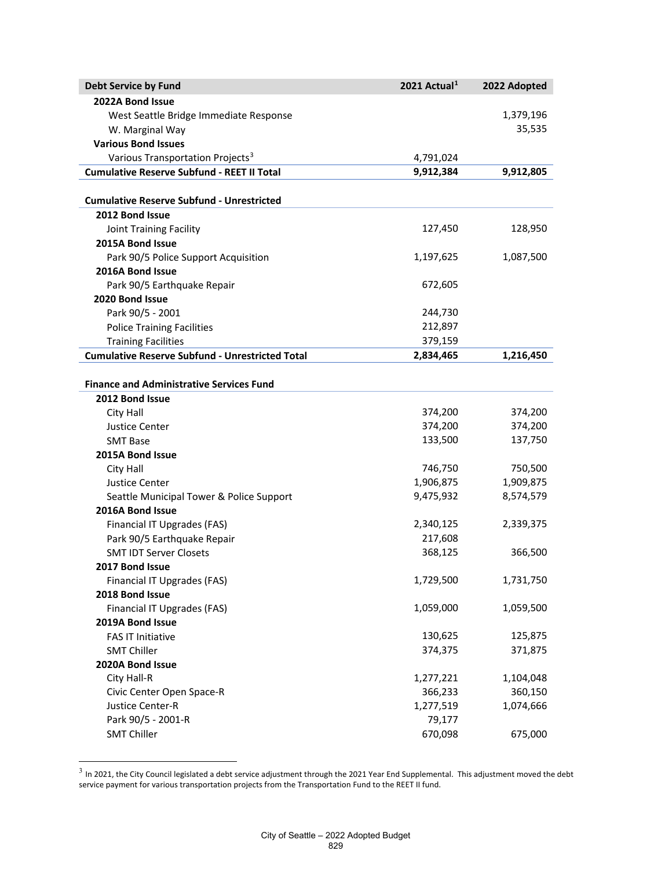| <b>Debt Service by Fund</b>                            | 2021 Actual <sup>1</sup> | 2022 Adopted |
|--------------------------------------------------------|--------------------------|--------------|
| 2022A Bond Issue                                       |                          |              |
| West Seattle Bridge Immediate Response                 |                          | 1,379,196    |
| W. Marginal Way                                        |                          | 35,535       |
| <b>Various Bond Issues</b>                             |                          |              |
| Various Transportation Projects <sup>3</sup>           | 4,791,024                |              |
| <b>Cumulative Reserve Subfund - REET II Total</b>      | 9,912,384                | 9,912,805    |
|                                                        |                          |              |
| <b>Cumulative Reserve Subfund - Unrestricted</b>       |                          |              |
| 2012 Bond Issue                                        |                          |              |
| Joint Training Facility                                | 127,450                  | 128,950      |
| 2015A Bond Issue                                       |                          |              |
| Park 90/5 Police Support Acquisition                   | 1,197,625                | 1,087,500    |
| 2016A Bond Issue                                       |                          |              |
| Park 90/5 Earthquake Repair                            | 672,605                  |              |
| 2020 Bond Issue                                        |                          |              |
| Park 90/5 - 2001                                       | 244,730                  |              |
| <b>Police Training Facilities</b>                      | 212,897                  |              |
| <b>Training Facilities</b>                             | 379,159                  |              |
| <b>Cumulative Reserve Subfund - Unrestricted Total</b> | 2,834,465                | 1,216,450    |
|                                                        |                          |              |
| <b>Finance and Administrative Services Fund</b>        |                          |              |
| 2012 Bond Issue                                        |                          |              |
| City Hall                                              | 374,200                  | 374,200      |
| <b>Justice Center</b>                                  | 374,200                  | 374,200      |
| <b>SMT Base</b>                                        | 133,500                  | 137,750      |
| 2015A Bond Issue                                       |                          |              |
| City Hall                                              | 746,750                  | 750,500      |
| <b>Justice Center</b>                                  | 1,906,875                | 1,909,875    |
| Seattle Municipal Tower & Police Support               | 9,475,932                | 8,574,579    |
| 2016A Bond Issue                                       |                          |              |
| Financial IT Upgrades (FAS)                            | 2,340,125                | 2,339,375    |
| Park 90/5 Earthquake Repair                            | 217,608                  |              |
| <b>SMT IDT Server Closets</b>                          | 368,125                  | 366,500      |
| 2017 Bond Issue                                        |                          |              |
| Financial IT Upgrades (FAS)                            | 1,729,500                | 1,731,750    |
| 2018 Bond Issue                                        |                          |              |
| Financial IT Upgrades (FAS)                            | 1,059,000                | 1,059,500    |
| 2019A Bond Issue                                       |                          |              |
| <b>FAS IT Initiative</b>                               | 130,625                  | 125,875      |
| <b>SMT Chiller</b>                                     | 374,375                  | 371,875      |
| 2020A Bond Issue                                       |                          |              |
| City Hall-R                                            | 1,277,221                | 1,104,048    |
| Civic Center Open Space-R                              | 366,233                  | 360,150      |
| Justice Center-R                                       | 1,277,519                | 1,074,666    |
| Park 90/5 - 2001-R                                     | 79,177                   |              |
| <b>SMT Chiller</b>                                     | 670,098                  | 675,000      |

<span id="page-2-0"></span> $^3$  In 2021, the City Council legislated a debt service adjustment through the 2021 Year End Supplemental. This adjustment moved the debt service payment for various transportation projects from the Transportation Fund to the REET II fund.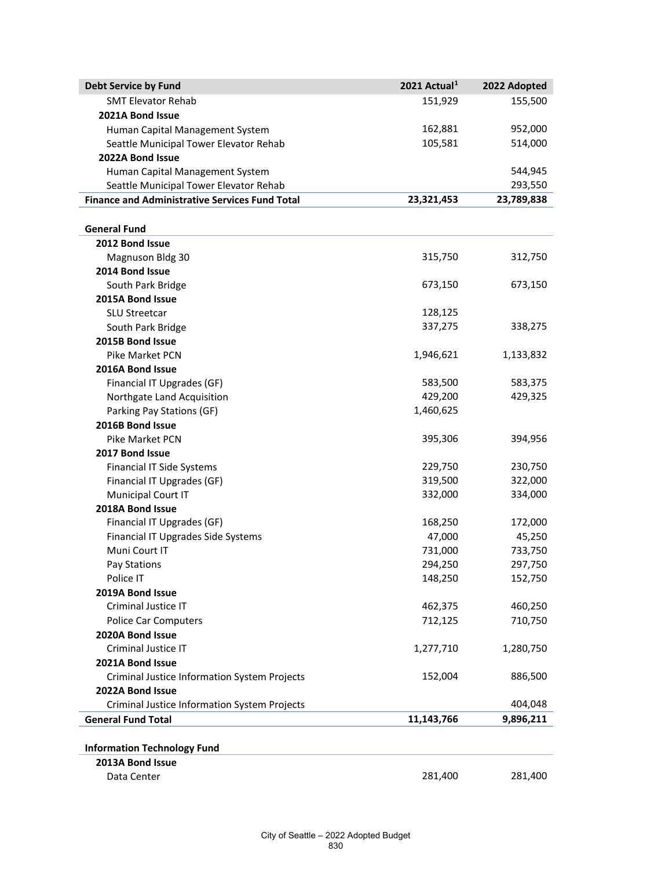| <b>Debt Service by Fund</b>                           | 2021 Actual <sup>1</sup> | 2022 Adopted |
|-------------------------------------------------------|--------------------------|--------------|
| <b>SMT Elevator Rehab</b>                             | 151,929                  | 155,500      |
| 2021A Bond Issue                                      |                          |              |
| Human Capital Management System                       | 162,881                  | 952,000      |
| Seattle Municipal Tower Elevator Rehab                | 105,581                  | 514,000      |
| 2022A Bond Issue                                      |                          |              |
| Human Capital Management System                       |                          | 544,945      |
| Seattle Municipal Tower Elevator Rehab                |                          | 293,550      |
| <b>Finance and Administrative Services Fund Total</b> | 23,321,453               | 23,789,838   |
|                                                       |                          |              |
| <b>General Fund</b>                                   |                          |              |
| 2012 Bond Issue                                       |                          |              |
| <b>Magnuson Bldg 30</b>                               | 315,750                  | 312,750      |
| 2014 Bond Issue                                       |                          |              |
| South Park Bridge                                     | 673,150                  | 673,150      |
| 2015A Bond Issue                                      |                          |              |
| <b>SLU Streetcar</b>                                  | 128,125                  |              |
| South Park Bridge                                     | 337,275                  | 338,275      |
| 2015B Bond Issue                                      |                          |              |
| <b>Pike Market PCN</b>                                | 1,946,621                | 1,133,832    |
| 2016A Bond Issue                                      |                          |              |
| Financial IT Upgrades (GF)                            | 583,500                  | 583,375      |
| Northgate Land Acquisition                            | 429,200                  | 429,325      |
| Parking Pay Stations (GF)                             | 1,460,625                |              |
| 2016B Bond Issue                                      |                          |              |
| <b>Pike Market PCN</b>                                | 395,306                  | 394,956      |
| 2017 Bond Issue                                       |                          |              |
| Financial IT Side Systems                             | 229,750                  | 230,750      |
| Financial IT Upgrades (GF)                            | 319,500                  | 322,000      |
| Municipal Court IT                                    | 332,000                  | 334,000      |
| 2018A Bond Issue                                      |                          |              |
| Financial IT Upgrades (GF)                            | 168,250                  | 172,000      |
| Financial IT Upgrades Side Systems                    | 47,000                   | 45,250       |
| Muni Court IT                                         | 731,000                  | 733,750      |
| Pay Stations                                          | 294,250                  | 297,750      |
| Police IT                                             | 148,250                  | 152,750      |
| 2019A Bond Issue                                      |                          |              |
| Criminal Justice IT                                   | 462,375                  | 460,250      |
| Police Car Computers                                  | 712,125                  | 710,750      |
| 2020A Bond Issue                                      |                          |              |
| Criminal Justice IT                                   | 1,277,710                | 1,280,750    |
| 2021A Bond Issue                                      |                          |              |
| Criminal Justice Information System Projects          | 152,004                  | 886,500      |
| 2022A Bond Issue                                      |                          |              |
| Criminal Justice Information System Projects          |                          | 404,048      |
| <b>General Fund Total</b>                             | 11,143,766               | 9,896,211    |
|                                                       |                          |              |
| <b>Information Technology Fund</b>                    |                          |              |
| 2013A Bond Issue                                      |                          |              |
| Data Center                                           | 281,400                  | 281,400      |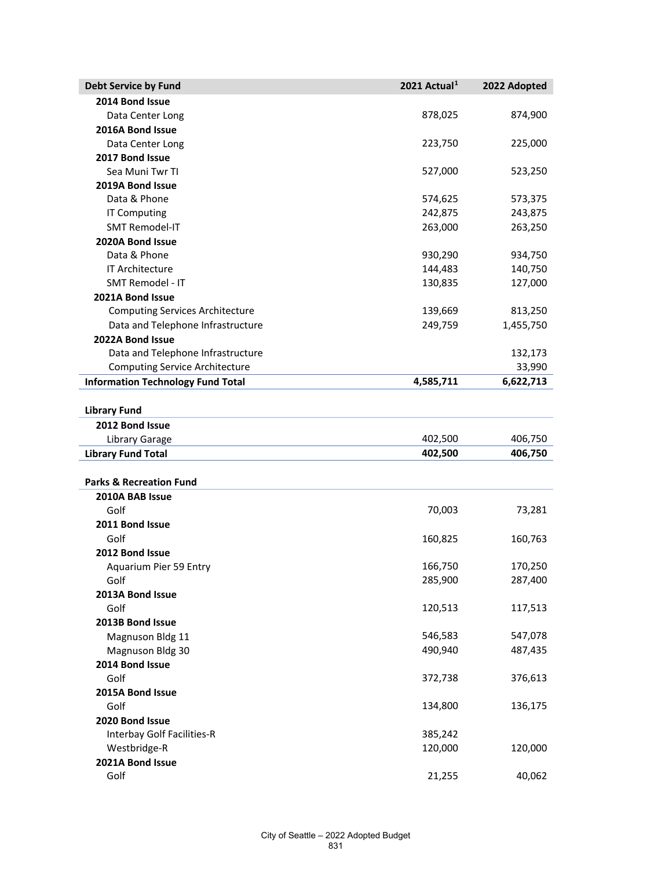| <b>Debt Service by Fund</b>              | 2021 Actual <sup>1</sup> | 2022 Adopted |
|------------------------------------------|--------------------------|--------------|
| 2014 Bond Issue                          |                          |              |
| Data Center Long                         | 878,025                  | 874,900      |
| 2016A Bond Issue                         |                          |              |
| Data Center Long                         | 223,750                  | 225,000      |
| 2017 Bond Issue                          |                          |              |
| Sea Muni Twr TI                          | 527,000                  | 523,250      |
| 2019A Bond Issue                         |                          |              |
| Data & Phone                             | 574,625                  | 573,375      |
| IT Computing                             | 242,875                  | 243,875      |
| <b>SMT Remodel-IT</b>                    | 263,000                  | 263,250      |
| 2020A Bond Issue                         |                          |              |
| Data & Phone                             | 930,290                  | 934,750      |
| IT Architecture                          | 144,483                  | 140,750      |
| SMT Remodel - IT                         | 130,835                  | 127,000      |
| 2021A Bond Issue                         |                          |              |
| <b>Computing Services Architecture</b>   | 139,669                  | 813,250      |
| Data and Telephone Infrastructure        | 249,759                  | 1,455,750    |
| 2022A Bond Issue                         |                          |              |
| Data and Telephone Infrastructure        |                          | 132,173      |
| <b>Computing Service Architecture</b>    |                          | 33,990       |
| <b>Information Technology Fund Total</b> | 4,585,711                | 6,622,713    |
|                                          |                          |              |
| <b>Library Fund</b>                      |                          |              |
| 2012 Bond Issue                          |                          |              |
| Library Garage                           | 402,500                  | 406,750      |
| <b>Library Fund Total</b>                | 402,500                  | 406,750      |
|                                          |                          |              |
| <b>Parks &amp; Recreation Fund</b>       |                          |              |
| 2010A BAB Issue                          |                          |              |
| Golf                                     | 70,003                   | 73,281       |
| 2011 Bond Issue                          |                          |              |
| Golf                                     | 160,825                  | 160,763      |
| 2012 Bond Issue                          |                          |              |
| <b>Aquarium Pier 59 Entry</b>            | 166,750                  | 170,250      |
| Golf                                     | 285,900                  | 287,400      |
| 2013A Bond Issue                         |                          |              |
| Golf                                     | 120,513                  | 117,513      |
| 2013B Bond Issue                         |                          |              |
| Magnuson Bldg 11                         | 546,583                  | 547,078      |
| Magnuson Bldg 30                         | 490,940                  | 487,435      |
| 2014 Bond Issue                          |                          |              |
| Golf                                     | 372,738                  | 376,613      |
| 2015A Bond Issue                         |                          |              |
| Golf                                     | 134,800                  | 136,175      |
| 2020 Bond Issue                          |                          |              |
| Interbay Golf Facilities-R               | 385,242                  |              |
| Westbridge-R                             | 120,000                  | 120,000      |
| 2021A Bond Issue                         |                          |              |
| Golf                                     | 21,255                   | 40,062       |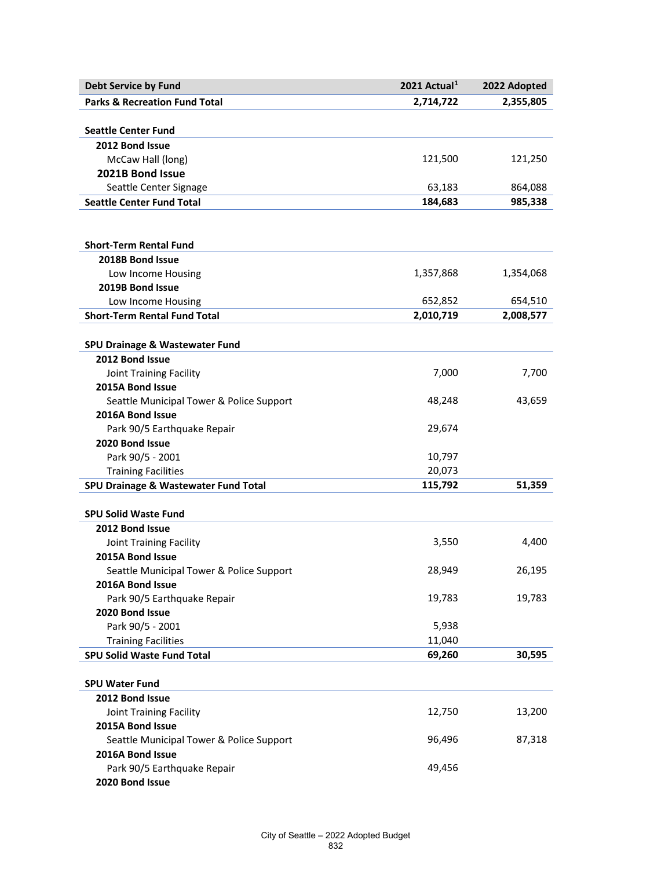| <b>Debt Service by Fund</b>              | 2021 Actual <sup>1</sup> | 2022 Adopted |
|------------------------------------------|--------------------------|--------------|
| <b>Parks &amp; Recreation Fund Total</b> | 2,714,722                | 2,355,805    |
|                                          |                          |              |
| <b>Seattle Center Fund</b>               |                          |              |
| 2012 Bond Issue                          |                          |              |
| McCaw Hall (long)                        | 121,500                  | 121,250      |
| 2021B Bond Issue                         |                          |              |
| Seattle Center Signage                   | 63,183                   | 864,088      |
| <b>Seattle Center Fund Total</b>         | 184,683                  | 985,338      |
|                                          |                          |              |
|                                          |                          |              |
| <b>Short-Term Rental Fund</b>            |                          |              |
| 2018B Bond Issue                         |                          |              |
| Low Income Housing                       | 1,357,868                | 1,354,068    |
| 2019B Bond Issue                         |                          |              |
| Low Income Housing                       | 652,852                  | 654,510      |
| <b>Short-Term Rental Fund Total</b>      | 2,010,719                | 2,008,577    |
|                                          |                          |              |
| SPU Drainage & Wastewater Fund           |                          |              |
| 2012 Bond Issue                          |                          |              |
| Joint Training Facility                  | 7,000                    | 7,700        |
| 2015A Bond Issue                         |                          |              |
| Seattle Municipal Tower & Police Support | 48,248                   | 43,659       |
| 2016A Bond Issue                         |                          |              |
| Park 90/5 Earthquake Repair              | 29,674                   |              |
| 2020 Bond Issue                          |                          |              |
| Park 90/5 - 2001                         | 10,797                   |              |
| <b>Training Facilities</b>               | 20,073                   |              |
| SPU Drainage & Wastewater Fund Total     | 115,792                  | 51,359       |
|                                          |                          |              |
| <b>SPU Solid Waste Fund</b>              |                          |              |
| 2012 Bond Issue                          |                          |              |
| Joint Training Facility                  | 3,550                    | 4,400        |
| 2015A Bond Issue                         |                          |              |
| Seattle Municipal Tower & Police Support | 28,949                   | 26,195       |
| 2016A Bond Issue                         |                          |              |
| Park 90/5 Earthquake Repair              | 19,783                   | 19,783       |
| 2020 Bond Issue                          |                          |              |
| Park 90/5 - 2001                         | 5,938                    |              |
| <b>Training Facilities</b>               | 11,040                   |              |
| <b>SPU Solid Waste Fund Total</b>        | 69,260                   | 30,595       |
|                                          |                          |              |
| <b>SPU Water Fund</b>                    |                          |              |
| 2012 Bond Issue                          |                          |              |
| Joint Training Facility                  | 12,750                   | 13,200       |
| 2015A Bond Issue                         |                          |              |
| Seattle Municipal Tower & Police Support | 96,496                   | 87,318       |
| 2016A Bond Issue                         |                          |              |
| Park 90/5 Earthquake Repair              | 49,456                   |              |
| 2020 Bond Issue                          |                          |              |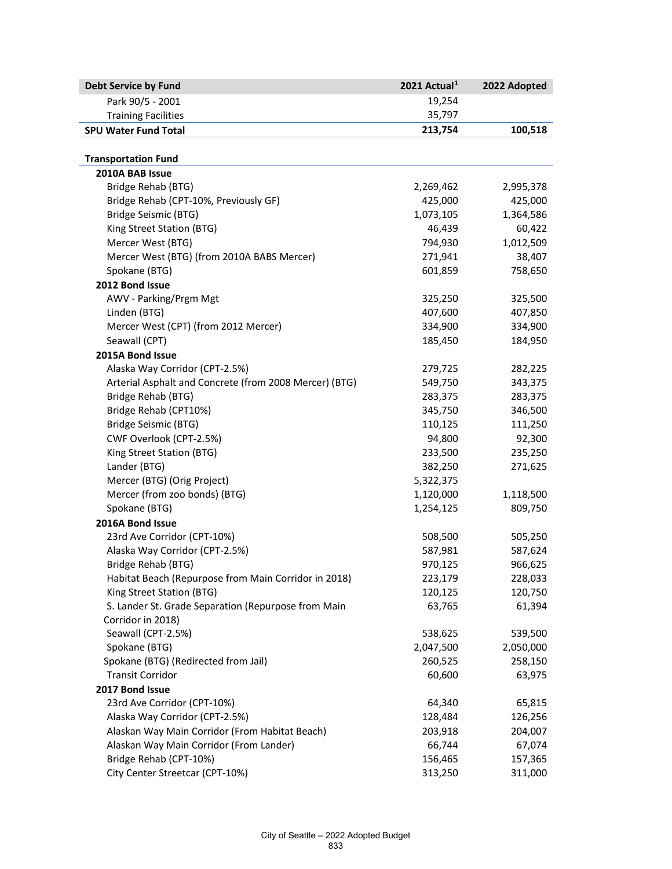| 19,254<br>Park 90/5 - 2001<br>35,797<br><b>Training Facilities</b><br><b>SPU Water Fund Total</b><br>213,754<br>100,518<br><b>Transportation Fund</b><br>2010A BAB Issue<br>Bridge Rehab (BTG)<br>2,995,378<br>2,269,462<br>Bridge Rehab (CPT-10%, Previously GF)<br>425,000<br>425,000<br>Bridge Seismic (BTG)<br>1,073,105<br>1,364,586<br>King Street Station (BTG)<br>46,439<br>60,422<br>Mercer West (BTG)<br>794,930<br>1,012,509<br>Mercer West (BTG) (from 2010A BABS Mercer)<br>271,941<br>38,407<br>Spokane (BTG)<br>601,859<br>758,650<br>2012 Bond Issue<br>AWV - Parking/Prgm Mgt<br>325,250<br>325,500<br>407,850<br>Linden (BTG)<br>407,600<br>Mercer West (CPT) (from 2012 Mercer)<br>334,900<br>334,900<br>Seawall (CPT)<br>185,450<br>184,950<br>2015A Bond Issue<br>Alaska Way Corridor (CPT-2.5%)<br>279,725<br>282,225<br>Arterial Asphalt and Concrete (from 2008 Mercer) (BTG)<br>343,375<br>549,750<br>Bridge Rehab (BTG)<br>283,375<br>283,375<br>Bridge Rehab (CPT10%)<br>345,750<br>346,500<br>Bridge Seismic (BTG)<br>110,125<br>111,250<br>CWF Overlook (CPT-2.5%)<br>94,800<br>92,300<br>King Street Station (BTG)<br>233,500<br>235,250<br>Lander (BTG)<br>382,250<br>271,625<br>Mercer (BTG) (Orig Project)<br>5,322,375<br>Mercer (from zoo bonds) (BTG)<br>1,120,000<br>1,118,500 |
|---------------------------------------------------------------------------------------------------------------------------------------------------------------------------------------------------------------------------------------------------------------------------------------------------------------------------------------------------------------------------------------------------------------------------------------------------------------------------------------------------------------------------------------------------------------------------------------------------------------------------------------------------------------------------------------------------------------------------------------------------------------------------------------------------------------------------------------------------------------------------------------------------------------------------------------------------------------------------------------------------------------------------------------------------------------------------------------------------------------------------------------------------------------------------------------------------------------------------------------------------------------------------------------------------------------------|
|                                                                                                                                                                                                                                                                                                                                                                                                                                                                                                                                                                                                                                                                                                                                                                                                                                                                                                                                                                                                                                                                                                                                                                                                                                                                                                                     |
|                                                                                                                                                                                                                                                                                                                                                                                                                                                                                                                                                                                                                                                                                                                                                                                                                                                                                                                                                                                                                                                                                                                                                                                                                                                                                                                     |
|                                                                                                                                                                                                                                                                                                                                                                                                                                                                                                                                                                                                                                                                                                                                                                                                                                                                                                                                                                                                                                                                                                                                                                                                                                                                                                                     |
|                                                                                                                                                                                                                                                                                                                                                                                                                                                                                                                                                                                                                                                                                                                                                                                                                                                                                                                                                                                                                                                                                                                                                                                                                                                                                                                     |
|                                                                                                                                                                                                                                                                                                                                                                                                                                                                                                                                                                                                                                                                                                                                                                                                                                                                                                                                                                                                                                                                                                                                                                                                                                                                                                                     |
|                                                                                                                                                                                                                                                                                                                                                                                                                                                                                                                                                                                                                                                                                                                                                                                                                                                                                                                                                                                                                                                                                                                                                                                                                                                                                                                     |
|                                                                                                                                                                                                                                                                                                                                                                                                                                                                                                                                                                                                                                                                                                                                                                                                                                                                                                                                                                                                                                                                                                                                                                                                                                                                                                                     |
|                                                                                                                                                                                                                                                                                                                                                                                                                                                                                                                                                                                                                                                                                                                                                                                                                                                                                                                                                                                                                                                                                                                                                                                                                                                                                                                     |
|                                                                                                                                                                                                                                                                                                                                                                                                                                                                                                                                                                                                                                                                                                                                                                                                                                                                                                                                                                                                                                                                                                                                                                                                                                                                                                                     |
|                                                                                                                                                                                                                                                                                                                                                                                                                                                                                                                                                                                                                                                                                                                                                                                                                                                                                                                                                                                                                                                                                                                                                                                                                                                                                                                     |
|                                                                                                                                                                                                                                                                                                                                                                                                                                                                                                                                                                                                                                                                                                                                                                                                                                                                                                                                                                                                                                                                                                                                                                                                                                                                                                                     |
|                                                                                                                                                                                                                                                                                                                                                                                                                                                                                                                                                                                                                                                                                                                                                                                                                                                                                                                                                                                                                                                                                                                                                                                                                                                                                                                     |
|                                                                                                                                                                                                                                                                                                                                                                                                                                                                                                                                                                                                                                                                                                                                                                                                                                                                                                                                                                                                                                                                                                                                                                                                                                                                                                                     |
|                                                                                                                                                                                                                                                                                                                                                                                                                                                                                                                                                                                                                                                                                                                                                                                                                                                                                                                                                                                                                                                                                                                                                                                                                                                                                                                     |
|                                                                                                                                                                                                                                                                                                                                                                                                                                                                                                                                                                                                                                                                                                                                                                                                                                                                                                                                                                                                                                                                                                                                                                                                                                                                                                                     |
|                                                                                                                                                                                                                                                                                                                                                                                                                                                                                                                                                                                                                                                                                                                                                                                                                                                                                                                                                                                                                                                                                                                                                                                                                                                                                                                     |
|                                                                                                                                                                                                                                                                                                                                                                                                                                                                                                                                                                                                                                                                                                                                                                                                                                                                                                                                                                                                                                                                                                                                                                                                                                                                                                                     |
|                                                                                                                                                                                                                                                                                                                                                                                                                                                                                                                                                                                                                                                                                                                                                                                                                                                                                                                                                                                                                                                                                                                                                                                                                                                                                                                     |
|                                                                                                                                                                                                                                                                                                                                                                                                                                                                                                                                                                                                                                                                                                                                                                                                                                                                                                                                                                                                                                                                                                                                                                                                                                                                                                                     |
|                                                                                                                                                                                                                                                                                                                                                                                                                                                                                                                                                                                                                                                                                                                                                                                                                                                                                                                                                                                                                                                                                                                                                                                                                                                                                                                     |
|                                                                                                                                                                                                                                                                                                                                                                                                                                                                                                                                                                                                                                                                                                                                                                                                                                                                                                                                                                                                                                                                                                                                                                                                                                                                                                                     |
|                                                                                                                                                                                                                                                                                                                                                                                                                                                                                                                                                                                                                                                                                                                                                                                                                                                                                                                                                                                                                                                                                                                                                                                                                                                                                                                     |
|                                                                                                                                                                                                                                                                                                                                                                                                                                                                                                                                                                                                                                                                                                                                                                                                                                                                                                                                                                                                                                                                                                                                                                                                                                                                                                                     |
|                                                                                                                                                                                                                                                                                                                                                                                                                                                                                                                                                                                                                                                                                                                                                                                                                                                                                                                                                                                                                                                                                                                                                                                                                                                                                                                     |
|                                                                                                                                                                                                                                                                                                                                                                                                                                                                                                                                                                                                                                                                                                                                                                                                                                                                                                                                                                                                                                                                                                                                                                                                                                                                                                                     |
|                                                                                                                                                                                                                                                                                                                                                                                                                                                                                                                                                                                                                                                                                                                                                                                                                                                                                                                                                                                                                                                                                                                                                                                                                                                                                                                     |
|                                                                                                                                                                                                                                                                                                                                                                                                                                                                                                                                                                                                                                                                                                                                                                                                                                                                                                                                                                                                                                                                                                                                                                                                                                                                                                                     |
|                                                                                                                                                                                                                                                                                                                                                                                                                                                                                                                                                                                                                                                                                                                                                                                                                                                                                                                                                                                                                                                                                                                                                                                                                                                                                                                     |
|                                                                                                                                                                                                                                                                                                                                                                                                                                                                                                                                                                                                                                                                                                                                                                                                                                                                                                                                                                                                                                                                                                                                                                                                                                                                                                                     |
| Spokane (BTG)<br>1,254,125<br>809,750                                                                                                                                                                                                                                                                                                                                                                                                                                                                                                                                                                                                                                                                                                                                                                                                                                                                                                                                                                                                                                                                                                                                                                                                                                                                               |
| 2016A Bond Issue                                                                                                                                                                                                                                                                                                                                                                                                                                                                                                                                                                                                                                                                                                                                                                                                                                                                                                                                                                                                                                                                                                                                                                                                                                                                                                    |
| 23rd Ave Corridor (CPT-10%)<br>508,500<br>505,250                                                                                                                                                                                                                                                                                                                                                                                                                                                                                                                                                                                                                                                                                                                                                                                                                                                                                                                                                                                                                                                                                                                                                                                                                                                                   |
| Alaska Way Corridor (CPT-2.5%)<br>587,981<br>587,624                                                                                                                                                                                                                                                                                                                                                                                                                                                                                                                                                                                                                                                                                                                                                                                                                                                                                                                                                                                                                                                                                                                                                                                                                                                                |
| 970,125<br>966,625<br>Bridge Rehab (BTG)                                                                                                                                                                                                                                                                                                                                                                                                                                                                                                                                                                                                                                                                                                                                                                                                                                                                                                                                                                                                                                                                                                                                                                                                                                                                            |
| Habitat Beach (Repurpose from Main Corridor in 2018)<br>223,179<br>228,033                                                                                                                                                                                                                                                                                                                                                                                                                                                                                                                                                                                                                                                                                                                                                                                                                                                                                                                                                                                                                                                                                                                                                                                                                                          |
| King Street Station (BTG)<br>120,125<br>120,750                                                                                                                                                                                                                                                                                                                                                                                                                                                                                                                                                                                                                                                                                                                                                                                                                                                                                                                                                                                                                                                                                                                                                                                                                                                                     |
| S. Lander St. Grade Separation (Repurpose from Main<br>63,765<br>61,394                                                                                                                                                                                                                                                                                                                                                                                                                                                                                                                                                                                                                                                                                                                                                                                                                                                                                                                                                                                                                                                                                                                                                                                                                                             |
| Corridor in 2018)                                                                                                                                                                                                                                                                                                                                                                                                                                                                                                                                                                                                                                                                                                                                                                                                                                                                                                                                                                                                                                                                                                                                                                                                                                                                                                   |
| Seawall (CPT-2.5%)<br>538,625<br>539,500                                                                                                                                                                                                                                                                                                                                                                                                                                                                                                                                                                                                                                                                                                                                                                                                                                                                                                                                                                                                                                                                                                                                                                                                                                                                            |
| Spokane (BTG)<br>2,047,500<br>2,050,000                                                                                                                                                                                                                                                                                                                                                                                                                                                                                                                                                                                                                                                                                                                                                                                                                                                                                                                                                                                                                                                                                                                                                                                                                                                                             |
| Spokane (BTG) (Redirected from Jail)<br>260,525<br>258,150                                                                                                                                                                                                                                                                                                                                                                                                                                                                                                                                                                                                                                                                                                                                                                                                                                                                                                                                                                                                                                                                                                                                                                                                                                                          |
| <b>Transit Corridor</b><br>60,600<br>63,975                                                                                                                                                                                                                                                                                                                                                                                                                                                                                                                                                                                                                                                                                                                                                                                                                                                                                                                                                                                                                                                                                                                                                                                                                                                                         |
| 2017 Bond Issue                                                                                                                                                                                                                                                                                                                                                                                                                                                                                                                                                                                                                                                                                                                                                                                                                                                                                                                                                                                                                                                                                                                                                                                                                                                                                                     |
| 23rd Ave Corridor (CPT-10%)<br>64,340<br>65,815                                                                                                                                                                                                                                                                                                                                                                                                                                                                                                                                                                                                                                                                                                                                                                                                                                                                                                                                                                                                                                                                                                                                                                                                                                                                     |
| Alaska Way Corridor (CPT-2.5%)<br>128,484<br>126,256                                                                                                                                                                                                                                                                                                                                                                                                                                                                                                                                                                                                                                                                                                                                                                                                                                                                                                                                                                                                                                                                                                                                                                                                                                                                |
| Alaskan Way Main Corridor (From Habitat Beach)<br>204,007<br>203,918                                                                                                                                                                                                                                                                                                                                                                                                                                                                                                                                                                                                                                                                                                                                                                                                                                                                                                                                                                                                                                                                                                                                                                                                                                                |
| Alaskan Way Main Corridor (From Lander)<br>66,744<br>67,074                                                                                                                                                                                                                                                                                                                                                                                                                                                                                                                                                                                                                                                                                                                                                                                                                                                                                                                                                                                                                                                                                                                                                                                                                                                         |
| Bridge Rehab (CPT-10%)<br>156,465<br>157,365                                                                                                                                                                                                                                                                                                                                                                                                                                                                                                                                                                                                                                                                                                                                                                                                                                                                                                                                                                                                                                                                                                                                                                                                                                                                        |
| City Center Streetcar (CPT-10%)<br>313,250<br>311,000                                                                                                                                                                                                                                                                                                                                                                                                                                                                                                                                                                                                                                                                                                                                                                                                                                                                                                                                                                                                                                                                                                                                                                                                                                                               |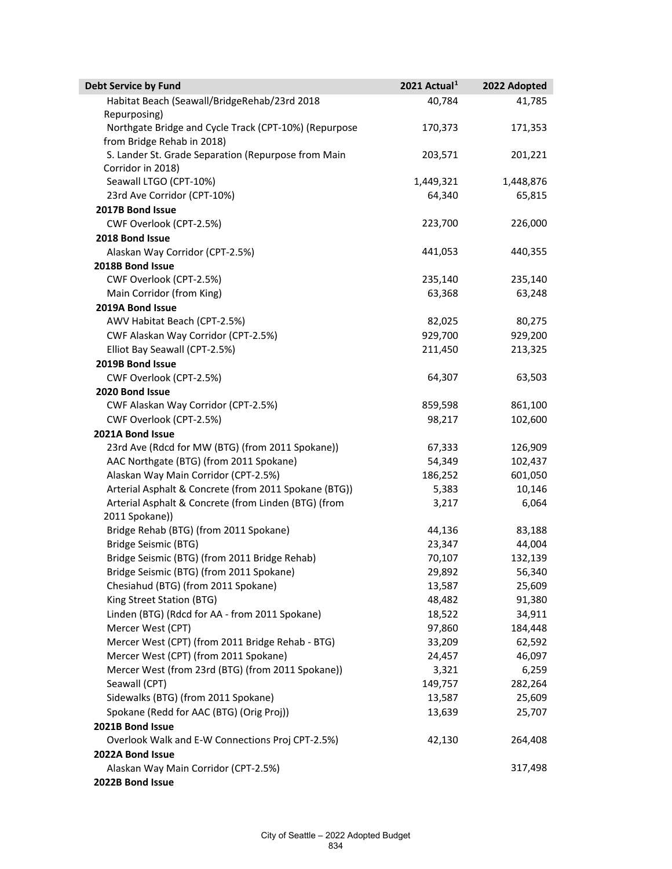| <b>Debt Service by Fund</b>                           | 2021 Actual <sup>1</sup> | 2022 Adopted |
|-------------------------------------------------------|--------------------------|--------------|
| Habitat Beach (Seawall/BridgeRehab/23rd 2018          | 40,784                   | 41,785       |
| Repurposing)                                          |                          |              |
| Northgate Bridge and Cycle Track (CPT-10%) (Repurpose | 170,373                  | 171,353      |
| from Bridge Rehab in 2018)                            |                          |              |
| S. Lander St. Grade Separation (Repurpose from Main   | 203,571                  | 201,221      |
| Corridor in 2018)                                     |                          |              |
| Seawall LTGO (CPT-10%)                                | 1,449,321                | 1,448,876    |
| 23rd Ave Corridor (CPT-10%)                           | 64,340                   | 65,815       |
| 2017B Bond Issue                                      |                          |              |
| CWF Overlook (CPT-2.5%)                               | 223,700                  | 226,000      |
| 2018 Bond Issue                                       |                          |              |
| Alaskan Way Corridor (CPT-2.5%)                       | 441,053                  | 440,355      |
| 2018B Bond Issue                                      |                          |              |
| CWF Overlook (CPT-2.5%)                               | 235,140                  | 235,140      |
| Main Corridor (from King)                             | 63,368                   | 63,248       |
| 2019A Bond Issue                                      |                          |              |
| AWV Habitat Beach (CPT-2.5%)                          | 82,025                   | 80,275       |
| CWF Alaskan Way Corridor (CPT-2.5%)                   | 929,700                  | 929,200      |
| Elliot Bay Seawall (CPT-2.5%)                         | 211,450                  | 213,325      |
| 2019B Bond Issue                                      |                          |              |
| CWF Overlook (CPT-2.5%)                               | 64,307                   | 63,503       |
| 2020 Bond Issue                                       |                          |              |
| CWF Alaskan Way Corridor (CPT-2.5%)                   | 859,598                  | 861,100      |
| CWF Overlook (CPT-2.5%)                               | 98,217                   | 102,600      |
| 2021A Bond Issue                                      |                          |              |
| 23rd Ave (Rdcd for MW (BTG) (from 2011 Spokane))      | 67,333                   | 126,909      |
| AAC Northgate (BTG) (from 2011 Spokane)               | 54,349                   | 102,437      |
| Alaskan Way Main Corridor (CPT-2.5%)                  | 186,252                  | 601,050      |
| Arterial Asphalt & Concrete (from 2011 Spokane (BTG)) | 5,383                    | 10,146       |
| Arterial Asphalt & Concrete (from Linden (BTG) (from  | 3,217                    | 6,064        |
| 2011 Spokane))                                        |                          |              |
| Bridge Rehab (BTG) (from 2011 Spokane)                | 44,136                   | 83,188       |
| Bridge Seismic (BTG)                                  | 23,347                   | 44,004       |
| Bridge Seismic (BTG) (from 2011 Bridge Rehab)         | 70,107                   | 132,139      |
| Bridge Seismic (BTG) (from 2011 Spokane)              | 29,892                   | 56,340       |
| Chesiahud (BTG) (from 2011 Spokane)                   | 13,587                   | 25,609       |
| King Street Station (BTG)                             | 48,482                   | 91,380       |
| Linden (BTG) (Rdcd for AA - from 2011 Spokane)        | 18,522                   | 34,911       |
| Mercer West (CPT)                                     | 97,860                   | 184,448      |
| Mercer West (CPT) (from 2011 Bridge Rehab - BTG)      | 33,209                   | 62,592       |
| Mercer West (CPT) (from 2011 Spokane)                 | 24,457                   | 46,097       |
| Mercer West (from 23rd (BTG) (from 2011 Spokane))     | 3,321                    | 6,259        |
| Seawall (CPT)                                         | 149,757                  | 282,264      |
| Sidewalks (BTG) (from 2011 Spokane)                   | 13,587                   | 25,609       |
| Spokane (Redd for AAC (BTG) (Orig Proj))              | 13,639                   | 25,707       |
| 2021B Bond Issue                                      |                          |              |
| Overlook Walk and E-W Connections Proj CPT-2.5%)      | 42,130                   | 264,408      |
| 2022A Bond Issue                                      |                          |              |
| Alaskan Way Main Corridor (CPT-2.5%)                  |                          | 317,498      |
| 2022B Bond Issue                                      |                          |              |
|                                                       |                          |              |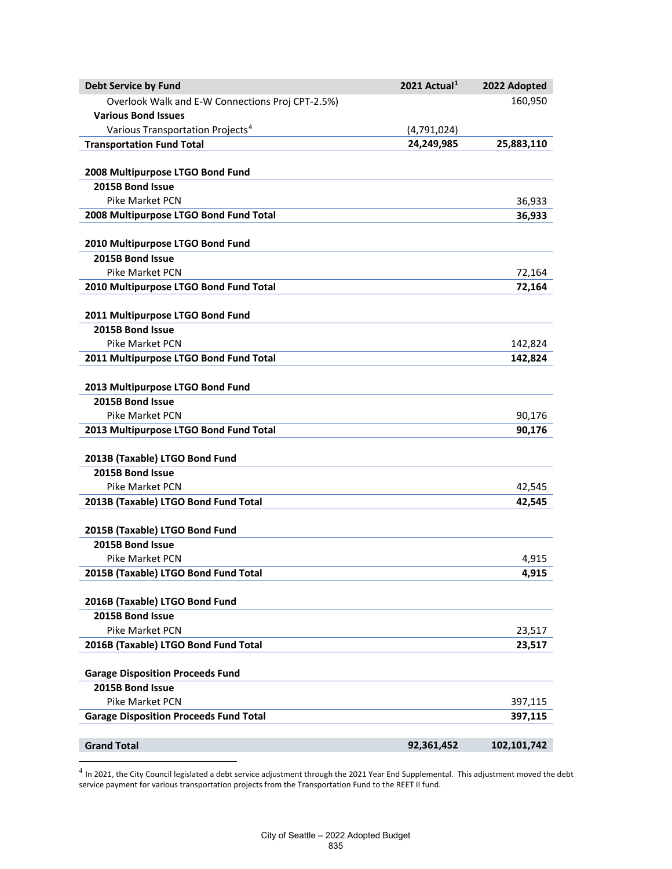| <b>Debt Service by Fund</b>                      | 2021 Actual <sup>1</sup> | 2022 Adopted  |
|--------------------------------------------------|--------------------------|---------------|
| Overlook Walk and E-W Connections Proj CPT-2.5%) |                          | 160,950       |
| <b>Various Bond Issues</b>                       |                          |               |
| Various Transportation Projects <sup>4</sup>     | (4,791,024)              |               |
| <b>Transportation Fund Total</b>                 | 24,249,985               | 25,883,110    |
|                                                  |                          |               |
| 2008 Multipurpose LTGO Bond Fund                 |                          |               |
| 2015B Bond Issue                                 |                          |               |
| Pike Market PCN                                  |                          | 36,933        |
| 2008 Multipurpose LTGO Bond Fund Total           |                          | 36,933        |
| 2010 Multipurpose LTGO Bond Fund                 |                          |               |
| 2015B Bond Issue                                 |                          |               |
| Pike Market PCN                                  |                          | 72,164        |
| 2010 Multipurpose LTGO Bond Fund Total           |                          | 72,164        |
|                                                  |                          |               |
| 2011 Multipurpose LTGO Bond Fund                 |                          |               |
| 2015B Bond Issue                                 |                          |               |
| <b>Pike Market PCN</b>                           |                          | 142,824       |
| 2011 Multipurpose LTGO Bond Fund Total           |                          | 142,824       |
|                                                  |                          |               |
| 2013 Multipurpose LTGO Bond Fund                 |                          |               |
| 2015B Bond Issue                                 |                          |               |
| <b>Pike Market PCN</b>                           |                          | 90,176        |
| 2013 Multipurpose LTGO Bond Fund Total           |                          | 90,176        |
| 2013B (Taxable) LTGO Bond Fund                   |                          |               |
| 2015B Bond Issue                                 |                          |               |
| <b>Pike Market PCN</b>                           |                          | 42,545        |
| 2013B (Taxable) LTGO Bond Fund Total             |                          | 42,545        |
|                                                  |                          |               |
| 2015B (Taxable) LTGO Bond Fund                   |                          |               |
| 2015B Bond Issue                                 |                          |               |
| <b>Pike Market PCN</b>                           |                          | 4,915         |
| 2015B (Taxable) LTGO Bond Fund Total             |                          | 4,915         |
|                                                  |                          |               |
| 2016B (Taxable) LTGO Bond Fund                   |                          |               |
| 2015B Bond Issue                                 |                          |               |
| <b>Pike Market PCN</b>                           |                          | 23,517        |
| 2016B (Taxable) LTGO Bond Fund Total             |                          | 23,517        |
| <b>Garage Disposition Proceeds Fund</b>          |                          |               |
| 2015B Bond Issue                                 |                          |               |
| Pike Market PCN                                  |                          | 397,115       |
| <b>Garage Disposition Proceeds Fund Total</b>    |                          | 397,115       |
|                                                  |                          |               |
| <b>Grand Total</b>                               | 92,361,452               | 102, 101, 742 |

<span id="page-8-0"></span> $^4$  In 2021, the City Council legislated a debt service adjustment through the 2021 Year End Supplemental. This adjustment moved the debt service payment for various transportation projects from the Transportation Fund to the REET II fund.